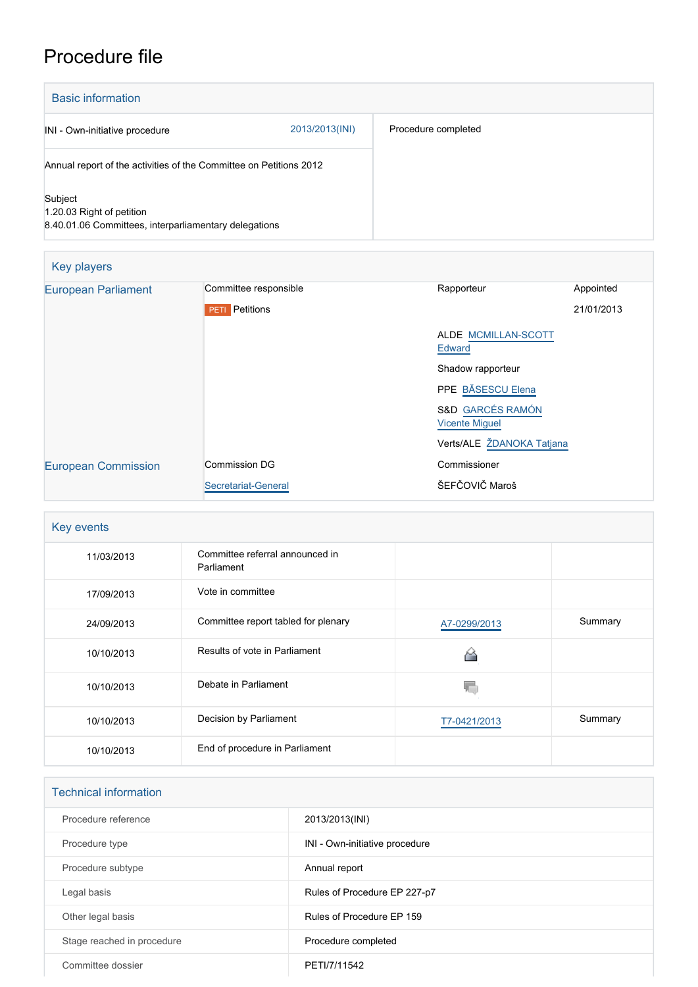## Procedure file

| <b>Basic information</b>                                                                      |                |                     |
|-----------------------------------------------------------------------------------------------|----------------|---------------------|
| INI - Own-initiative procedure                                                                | 2013/2013(INI) | Procedure completed |
| Annual report of the activities of the Committee on Petitions 2012                            |                |                     |
| Subject<br>1.20.03 Right of petition<br>8.40.01.06 Committees, interparliamentary delegations |                |                     |

| Key players                |                       |                                                      |            |
|----------------------------|-----------------------|------------------------------------------------------|------------|
| <b>European Parliament</b> | Committee responsible | Rapporteur                                           | Appointed  |
|                            | <b>PETI</b> Petitions |                                                      | 21/01/2013 |
|                            |                       | ALDE MCMILLAN-SCOTT<br>Edward                        |            |
|                            |                       | Shadow rapporteur                                    |            |
|                            |                       | PPE BĂSESCU Elena                                    |            |
|                            |                       | <b>S&amp;D GARCÉS RAMÓN</b><br><b>Vicente Miguel</b> |            |
|                            |                       | Verts/ALE ŽDANOKA Tatjana                            |            |
| <b>European Commission</b> | <b>Commission DG</b>  | Commissioner                                         |            |
|                            | Secretariat-General   | ŠEFČOVIČ Maroš                                       |            |

| Key events |                                               |              |         |  |
|------------|-----------------------------------------------|--------------|---------|--|
| 11/03/2013 | Committee referral announced in<br>Parliament |              |         |  |
| 17/09/2013 | Vote in committee                             |              |         |  |
| 24/09/2013 | Committee report tabled for plenary           | A7-0299/2013 | Summary |  |
| 10/10/2013 | Results of vote in Parliament                 |              |         |  |
| 10/10/2013 | Debate in Parliament                          |              |         |  |
| 10/10/2013 | Decision by Parliament                        | T7-0421/2013 | Summary |  |
| 10/10/2013 | End of procedure in Parliament                |              |         |  |

| <b>Technical information</b> |                                |  |  |
|------------------------------|--------------------------------|--|--|
| Procedure reference          | 2013/2013(INI)                 |  |  |
| Procedure type               | INI - Own-initiative procedure |  |  |
| Procedure subtype            | Annual report                  |  |  |
| Legal basis                  | Rules of Procedure EP 227-p7   |  |  |
| Other legal basis            | Rules of Procedure EP 159      |  |  |
| Stage reached in procedure   | Procedure completed            |  |  |
| Committee dossier            | PETI/7/11542                   |  |  |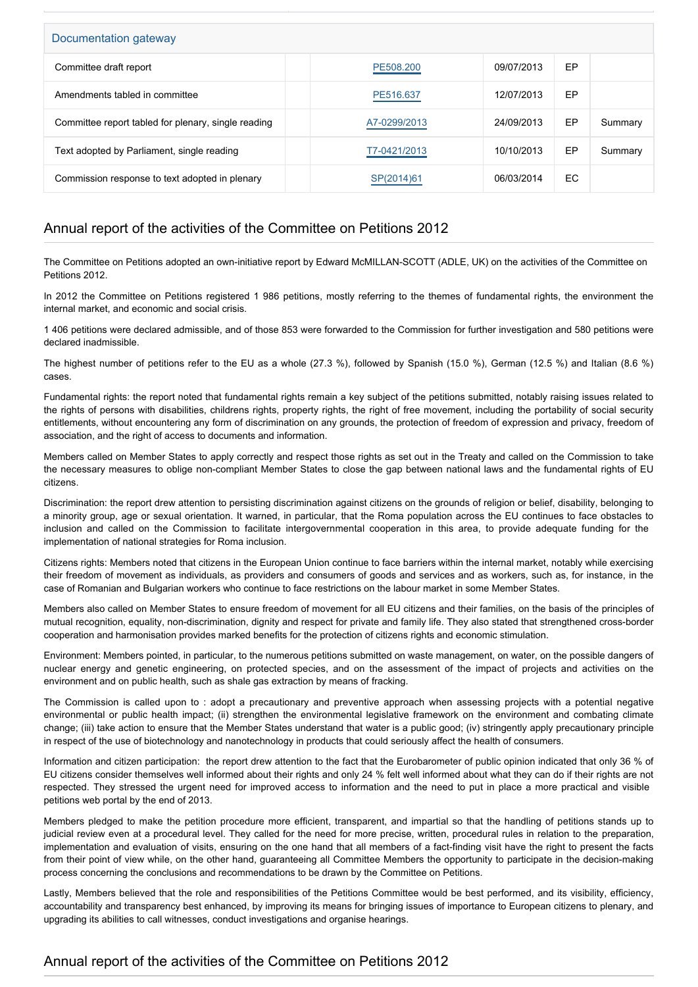| Documentation gateway                               |              |            |    |         |  |
|-----------------------------------------------------|--------------|------------|----|---------|--|
| Committee draft report                              | PE508.200    | 09/07/2013 | EP |         |  |
| Amendments tabled in committee                      | PE516.637    | 12/07/2013 | EP |         |  |
| Committee report tabled for plenary, single reading | A7-0299/2013 | 24/09/2013 | EP | Summary |  |
| Text adopted by Parliament, single reading          | T7-0421/2013 | 10/10/2013 | EP | Summary |  |
| Commission response to text adopted in plenary      | SP(2014)61   | 06/03/2014 | EC |         |  |

## Annual report of the activities of the Committee on Petitions 2012

The Committee on Petitions adopted an own-initiative report by Edward McMILLAN-SCOTT (ADLE, UK) on the activities of the Committee on Petitions 2012.

In 2012 the Committee on Petitions registered 1 986 petitions, mostly referring to the themes of fundamental rights, the environment the internal market, and economic and social crisis.

1 406 petitions were declared admissible, and of those 853 were forwarded to the Commission for further investigation and 580 petitions were declared inadmissible.

The highest number of petitions refer to the EU as a whole (27.3 %), followed by Spanish (15.0 %), German (12.5 %) and Italian (8.6 %) cases.

Fundamental rights: the report noted that fundamental rights remain a key subject of the petitions submitted, notably raising issues related to the rights of persons with disabilities, childrens rights, property rights, the right of free movement, including the portability of social security entitlements, without encountering any form of discrimination on any grounds, the protection of freedom of expression and privacy, freedom of association, and the right of access to documents and information.

Members called on Member States to apply correctly and respect those rights as set out in the Treaty and called on the Commission to take the necessary measures to oblige non-compliant Member States to close the gap between national laws and the fundamental rights of EU citizens.

Discrimination: the report drew attention to persisting discrimination against citizens on the grounds of religion or belief, disability, belonging to a minority group, age or sexual orientation. It warned, in particular, that the Roma population across the EU continues to face obstacles to inclusion and called on the Commission to facilitate intergovernmental cooperation in this area, to provide adequate funding for the implementation of national strategies for Roma inclusion.

Citizens rights: Members noted that citizens in the European Union continue to face barriers within the internal market, notably while exercising their freedom of movement as individuals, as providers and consumers of goods and services and as workers, such as, for instance, in the case of Romanian and Bulgarian workers who continue to face restrictions on the labour market in some Member States.

Members also called on Member States to ensure freedom of movement for all EU citizens and their families, on the basis of the principles of mutual recognition, equality, non-discrimination, dignity and respect for private and family life. They also stated that strengthened cross-border cooperation and harmonisation provides marked benefits for the protection of citizens rights and economic stimulation.

Environment: Members pointed, in particular, to the numerous petitions submitted on waste management, on water, on the possible dangers of nuclear energy and genetic engineering, on protected species, and on the assessment of the impact of projects and activities on the environment and on public health, such as shale gas extraction by means of fracking.

The Commission is called upon to : adopt a precautionary and preventive approach when assessing projects with a potential negative environmental or public health impact; (ii) strengthen the environmental legislative framework on the environment and combating climate change; (iii) take action to ensure that the Member States understand that water is a public good; (iv) stringently apply precautionary principle in respect of the use of biotechnology and nanotechnology in products that could seriously affect the health of consumers.

Information and citizen participation: the report drew attention to the fact that the Eurobarometer of public opinion indicated that only 36 % of EU citizens consider themselves well informed about their rights and only 24 % felt well informed about what they can do if their rights are not respected. They stressed the urgent need for improved access to information and the need to put in place a more practical and visible petitions web portal by the end of 2013.

Members pledged to make the petition procedure more efficient, transparent, and impartial so that the handling of petitions stands up to judicial review even at a procedural level. They called for the need for more precise, written, procedural rules in relation to the preparation, implementation and evaluation of visits, ensuring on the one hand that all members of a fact-finding visit have the right to present the facts from their point of view while, on the other hand, guaranteeing all Committee Members the opportunity to participate in the decision-making process concerning the conclusions and recommendations to be drawn by the Committee on Petitions.

Lastly, Members believed that the role and responsibilities of the Petitions Committee would be best performed, and its visibility, efficiency, accountability and transparency best enhanced, by improving its means for bringing issues of importance to European citizens to plenary, and upgrading its abilities to call witnesses, conduct investigations and organise hearings.

## Annual report of the activities of the Committee on Petitions 2012